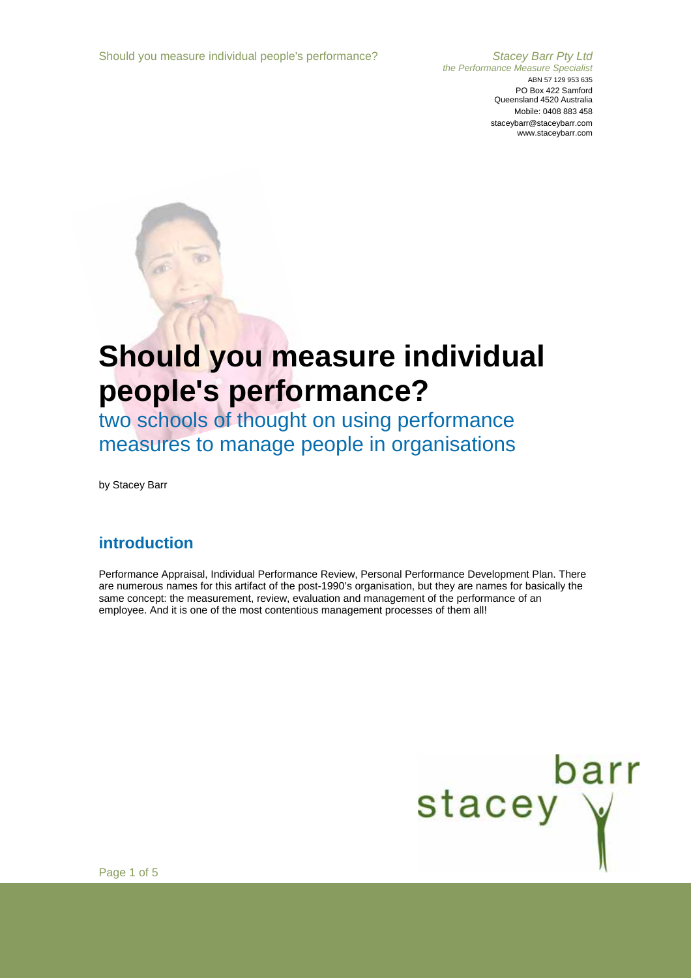#### *the Performance Measure Specialist*  ABN 57 129 953 635 PO Box 422 Samford Queensland 4520 Australia Mobile: 0408 883 458 staceybarr@staceybarr.com www.staceybarr.com

# **Should you measure individual people's performance?**

two schools of thought on using performance measures to manage people in organisations

by Stacey Barr

## **introduction**

Performance Appraisal, Individual Performance Review, Personal Performance Development Plan. There are numerous names for this artifact of the post-1990's organisation, but they are names for basically the same concept: the measurement, review, evaluation and management of the performance of an employee. And it is one of the most contentious management processes of them all!



Page 1 of 5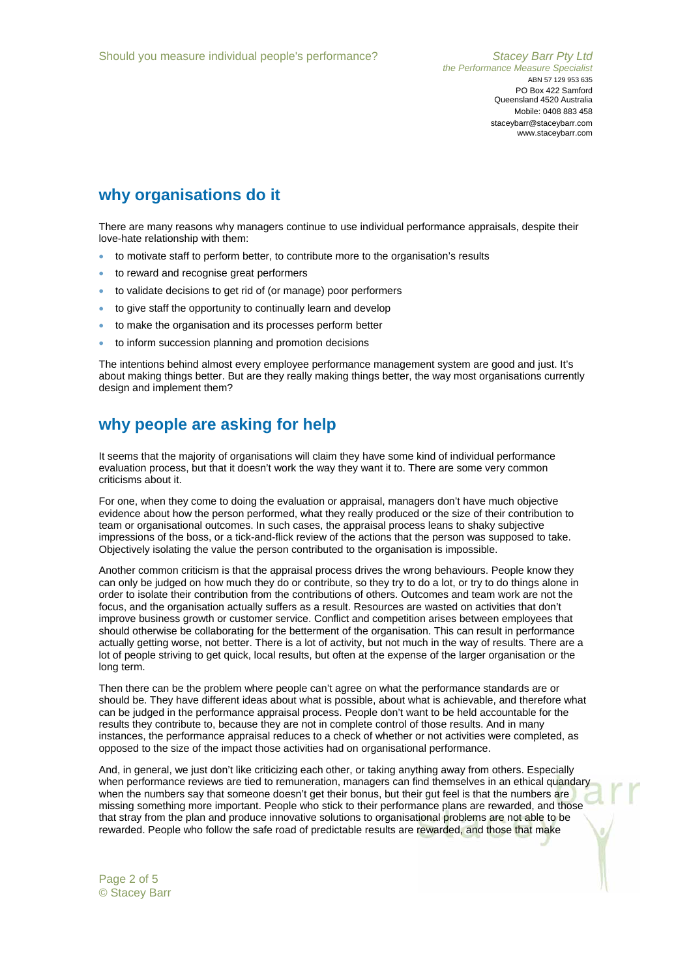# **why organisations do it**

There are many reasons why managers continue to use individual performance appraisals, despite their love-hate relationship with them:

- to motivate staff to perform better, to contribute more to the organisation's results
- to reward and recognise great performers
- to validate decisions to get rid of (or manage) poor performers
- to give staff the opportunity to continually learn and develop
- to make the organisation and its processes perform better
- to inform succession planning and promotion decisions

The intentions behind almost every employee performance management system are good and just. It's about making things better. But are they really making things better, the way most organisations currently design and implement them?

#### **why people are asking for help**

It seems that the majority of organisations will claim they have some kind of individual performance evaluation process, but that it doesn't work the way they want it to. There are some very common criticisms about it.

For one, when they come to doing the evaluation or appraisal, managers don't have much objective evidence about how the person performed, what they really produced or the size of their contribution to team or organisational outcomes. In such cases, the appraisal process leans to shaky subjective impressions of the boss, or a tick-and-flick review of the actions that the person was supposed to take. Objectively isolating the value the person contributed to the organisation is impossible.

Another common criticism is that the appraisal process drives the wrong behaviours. People know they can only be judged on how much they do or contribute, so they try to do a lot, or try to do things alone in order to isolate their contribution from the contributions of others. Outcomes and team work are not the focus, and the organisation actually suffers as a result. Resources are wasted on activities that don't improve business growth or customer service. Conflict and competition arises between employees that should otherwise be collaborating for the betterment of the organisation. This can result in performance actually getting worse, not better. There is a lot of activity, but not much in the way of results. There are a lot of people striving to get quick, local results, but often at the expense of the larger organisation or the long term.

Then there can be the problem where people can't agree on what the performance standards are or should be. They have different ideas about what is possible, about what is achievable, and therefore what can be judged in the performance appraisal process. People don't want to be held accountable for the results they contribute to, because they are not in complete control of those results. And in many instances, the performance appraisal reduces to a check of whether or not activities were completed, as opposed to the size of the impact those activities had on organisational performance.

And, in general, we just don't like criticizing each other, or taking anything away from others. Especially when performance reviews are tied to remuneration, managers can find themselves in an ethical quandary when the numbers say that someone doesn't get their bonus, but their gut feel is that the numbers are missing something more important. People who stick to their performance plans are rewarded, and those that stray from the plan and produce innovative solutions to organisational problems are not able to be rewarded. People who follow the safe road of predictable results are rewarded, and those that make

Page 2 of 5 © Stacey Barr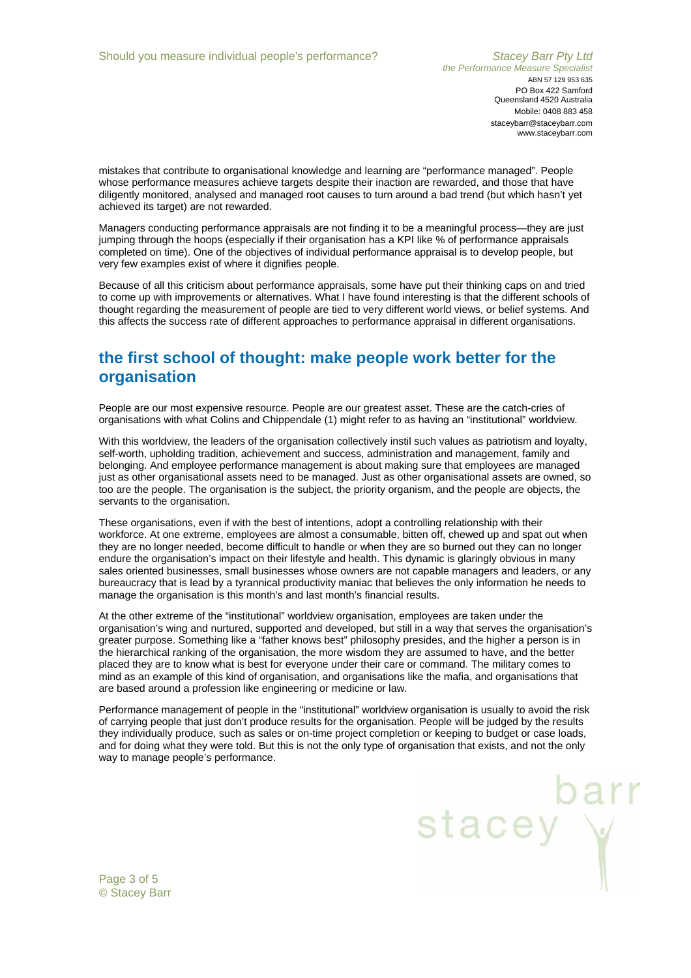stacey Y

mistakes that contribute to organisational knowledge and learning are "performance managed". People whose performance measures achieve targets despite their inaction are rewarded, and those that have diligently monitored, analysed and managed root causes to turn around a bad trend (but which hasn't yet achieved its target) are not rewarded.

Managers conducting performance appraisals are not finding it to be a meaningful process—they are just jumping through the hoops (especially if their organisation has a KPI like % of performance appraisals completed on time). One of the objectives of individual performance appraisal is to develop people, but very few examples exist of where it dignifies people.

Because of all this criticism about performance appraisals, some have put their thinking caps on and tried to come up with improvements or alternatives. What I have found interesting is that the different schools of thought regarding the measurement of people are tied to very different world views, or belief systems. And this affects the success rate of different approaches to performance appraisal in different organisations.

# **the first school of thought: make people work better for the organisation**

People are our most expensive resource. People are our greatest asset. These are the catch-cries of organisations with what Colins and Chippendale (1) might refer to as having an "institutional" worldview.

With this worldview, the leaders of the organisation collectively instil such values as patriotism and loyalty, self-worth, upholding tradition, achievement and success, administration and management, family and belonging. And employee performance management is about making sure that employees are managed just as other organisational assets need to be managed. Just as other organisational assets are owned, so too are the people. The organisation is the subject, the priority organism, and the people are objects, the servants to the organisation.

These organisations, even if with the best of intentions, adopt a controlling relationship with their workforce. At one extreme, employees are almost a consumable, bitten off, chewed up and spat out when they are no longer needed, become difficult to handle or when they are so burned out they can no longer endure the organisation's impact on their lifestyle and health. This dynamic is glaringly obvious in many sales oriented businesses, small businesses whose owners are not capable managers and leaders, or any bureaucracy that is lead by a tyrannical productivity maniac that believes the only information he needs to manage the organisation is this month's and last month's financial results.

At the other extreme of the "institutional" worldview organisation, employees are taken under the organisation's wing and nurtured, supported and developed, but still in a way that serves the organisation's greater purpose. Something like a "father knows best" philosophy presides, and the higher a person is in the hierarchical ranking of the organisation, the more wisdom they are assumed to have, and the better placed they are to know what is best for everyone under their care or command. The military comes to mind as an example of this kind of organisation, and organisations like the mafia, and organisations that are based around a profession like engineering or medicine or law.

Performance management of people in the "institutional" worldview organisation is usually to avoid the risk of carrying people that just don't produce results for the organisation. People will be judged by the results they individually produce, such as sales or on-time project completion or keeping to budget or case loads, and for doing what they were told. But this is not the only type of organisation that exists, and not the only way to manage people's performance.

Page 3 of 5 © Stacey Barr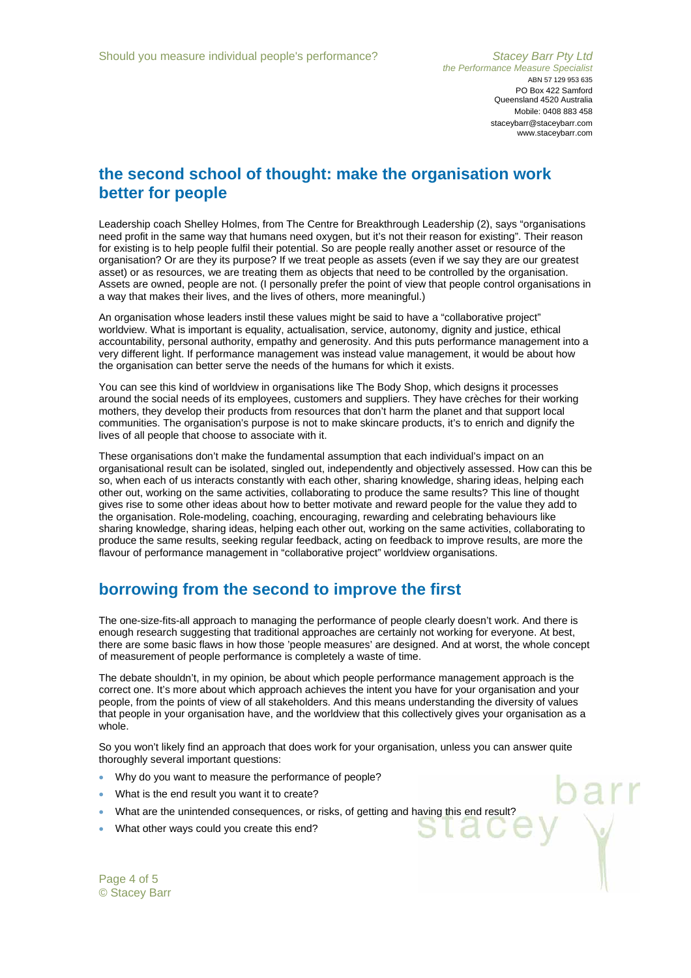#### **the second school of thought: make the organisation work better for people**

Leadership coach Shelley Holmes, from The Centre for Breakthrough Leadership (2), says "organisations need profit in the same way that humans need oxygen, but it's not their reason for existing". Their reason for existing is to help people fulfil their potential. So are people really another asset or resource of the organisation? Or are they its purpose? If we treat people as assets (even if we say they are our greatest asset) or as resources, we are treating them as objects that need to be controlled by the organisation. Assets are owned, people are not. (I personally prefer the point of view that people control organisations in a way that makes their lives, and the lives of others, more meaningful.)

An organisation whose leaders instil these values might be said to have a "collaborative project" worldview. What is important is equality, actualisation, service, autonomy, dignity and justice, ethical accountability, personal authority, empathy and generosity. And this puts performance management into a very different light. If performance management was instead value management, it would be about how the organisation can better serve the needs of the humans for which it exists.

You can see this kind of worldview in organisations like The Body Shop, which designs it processes around the social needs of its employees, customers and suppliers. They have crèches for their working mothers, they develop their products from resources that don't harm the planet and that support local communities. The organisation's purpose is not to make skincare products, it's to enrich and dignify the lives of all people that choose to associate with it.

These organisations don't make the fundamental assumption that each individual's impact on an organisational result can be isolated, singled out, independently and objectively assessed. How can this be so, when each of us interacts constantly with each other, sharing knowledge, sharing ideas, helping each other out, working on the same activities, collaborating to produce the same results? This line of thought gives rise to some other ideas about how to better motivate and reward people for the value they add to the organisation. Role-modeling, coaching, encouraging, rewarding and celebrating behaviours like sharing knowledge, sharing ideas, helping each other out, working on the same activities, collaborating to produce the same results, seeking regular feedback, acting on feedback to improve results, are more the flavour of performance management in "collaborative project" worldview organisations.

## **borrowing from the second to improve the first**

The one-size-fits-all approach to managing the performance of people clearly doesn't work. And there is enough research suggesting that traditional approaches are certainly not working for everyone. At best, there are some basic flaws in how those 'people measures' are designed. And at worst, the whole concept of measurement of people performance is completely a waste of time.

The debate shouldn't, in my opinion, be about which people performance management approach is the correct one. It's more about which approach achieves the intent you have for your organisation and your people, from the points of view of all stakeholders. And this means understanding the diversity of values that people in your organisation have, and the worldview that this collectively gives your organisation as a whole.

So you won't likely find an approach that does work for your organisation, unless you can answer quite thoroughly several important questions:

- Why do you want to measure the performance of people?
- What is the end result you want it to create?
- What are the unintended consequences, or risks, of getting and having this end result?
- What other ways could you create this end?

Page 4 of 5 © Stacey Barr